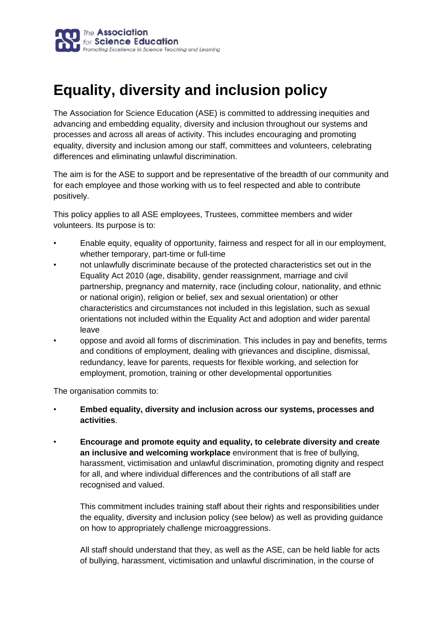

# **Equality, diversity and inclusion policy**

The Association for Science Education (ASE) is committed to addressing inequities and advancing and embedding equality, diversity and inclusion throughout our systems and processes and across all areas of activity. This includes encouraging and promoting equality, diversity and inclusion among our staff, committees and volunteers, celebrating differences and eliminating unlawful discrimination.

The aim is for the ASE to support and be representative of the breadth of our community and for each employee and those working with us to feel respected and able to contribute positively.

This policy applies to all ASE employees, Trustees, committee members and wider volunteers. Its purpose is to:

- Enable equity, equality of opportunity, fairness and respect for all in our employment, whether temporary, part-time or full-time
- not unlawfully discriminate because of the protected characteristics set out in the Equality Act 2010 (age, disability, gender reassignment, marriage and civil partnership, pregnancy and maternity, race (including colour, nationality, and ethnic or national origin), religion or belief, sex and sexual orientation) or other characteristics and circumstances not included in this legislation, such as sexual orientations not included within the Equality Act and adoption and wider parental leave
- oppose and avoid all forms of discrimination. This includes in pay and benefits, terms and conditions of employment, dealing with grievances and discipline, dismissal, redundancy, leave for parents, requests for flexible working, and selection for employment, promotion, training or other developmental opportunities

The organisation commits to:

- **Embed equality, diversity and inclusion across our systems, processes and activities**.
- **Encourage and promote equity and equality, to celebrate diversity and create an inclusive and welcoming workplace** environment that is free of bullying, harassment, victimisation and unlawful discrimination, promoting dignity and respect for all, and where individual differences and the contributions of all staff are recognised and valued.

This commitment includes training staff about their rights and responsibilities under the equality, diversity and inclusion policy (see below) as well as providing guidance on how to appropriately challenge microaggressions.

All staff should understand that they, as well as the ASE, can be held liable for acts of bullying, harassment, victimisation and unlawful discrimination, in the course of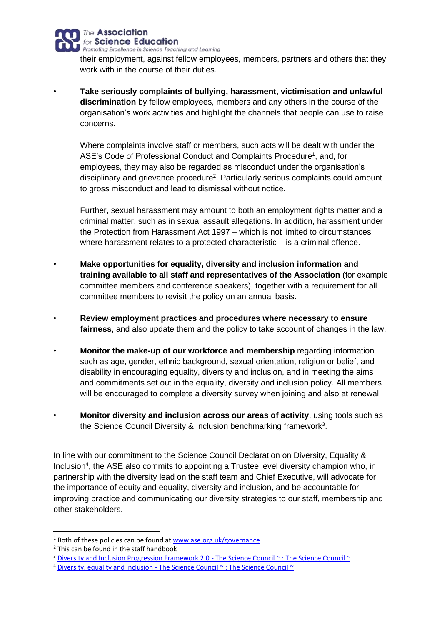

their employment, against fellow employees, members, partners and others that they work with in the course of their duties.

• **Take seriously complaints of bullying, harassment, victimisation and unlawful discrimination** by fellow employees, members and any others in the course of the organisation's work activities and highlight the channels that people can use to raise concerns.

Where complaints involve staff or members, such acts will be dealt with under the ASE's Code of Professional Conduct and Complaints Procedure<sup>1</sup>, and, for employees, they may also be regarded as misconduct under the organisation's disciplinary and grievance procedure<sup>2</sup>. Particularly serious complaints could amount to gross misconduct and lead to dismissal without notice.

Further, sexual harassment may amount to both an employment rights matter and a criminal matter, such as in sexual assault allegations. In addition, harassment under the Protection from Harassment Act 1997 – which is not limited to circumstances where harassment relates to a protected characteristic – is a criminal offence.

- **Make opportunities for equality, diversity and inclusion information and training available to all staff and representatives of the Association** (for example committee members and conference speakers), together with a requirement for all committee members to revisit the policy on an annual basis.
- **Review employment practices and procedures where necessary to ensure fairness**, and also update them and the policy to take account of changes in the law.
- **Monitor the make-up of our workforce and membership** regarding information such as age, gender, ethnic background, sexual orientation, religion or belief, and disability in encouraging equality, diversity and inclusion, and in meeting the aims and commitments set out in the equality, diversity and inclusion policy. All members will be encouraged to complete a diversity survey when joining and also at renewal.
- **Monitor diversity and inclusion across our areas of activity**, using tools such as the Science Council Diversity & Inclusion benchmarking framework<sup>3</sup>.

In line with our commitment to the Science Council Declaration on Diversity, Equality & Inclusion<sup>4</sup>, the ASE also commits to appointing a Trustee level diversity champion who, in partnership with the diversity lead on the staff team and Chief Executive, will advocate for the importance of equity and equality, diversity and inclusion, and be accountable for improving practice and communicating our diversity strategies to our staff, membership and other stakeholders.

 $1$  Both of these policies can be found at [www.ase.org.uk/governance](http://www.ase.org.uk/governance)

<sup>2</sup> This can be found in the staff handbook

<sup>&</sup>lt;sup>3</sup> [Diversity and Inclusion Progression Framework 2.0 -](https://sciencecouncil.org/professional-bodies/diversity-equality-and-inclusion/diversity-framework/) The Science Council ~ : The Science Council ~

<sup>&</sup>lt;sup>4</sup> Diversity, equality and inclusion - [The Science Council ~ : The Science Council ~](https://sciencecouncil.org/professional-bodies/diversity-equality-and-inclusion/)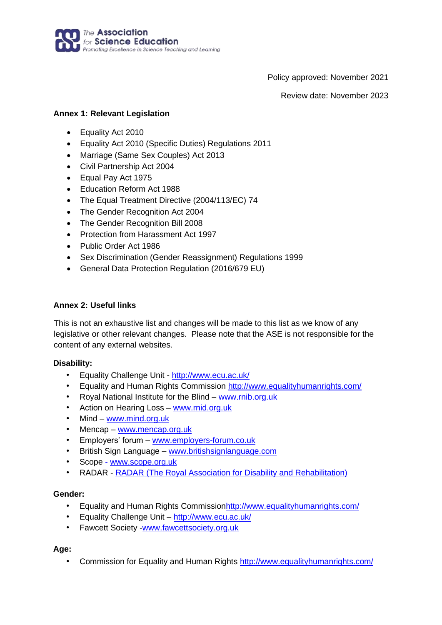

Policy approved: November 2021

Review date: November 2023

### **Annex 1: Relevant Legislation**

- Equality Act 2010
- Equality Act 2010 (Specific Duties) Regulations 2011
- Marriage (Same Sex Couples) Act 2013
- Civil Partnership Act 2004
- Equal Pay Act 1975
- Education Reform Act 1988
- The Equal Treatment Directive (2004/113/EC) 74
- The Gender Recognition Act 2004
- The Gender Recognition Bill 2008
- Protection from Harassment Act 1997
- Public Order Act 1986
- Sex Discrimination (Gender Reassignment) Regulations 1999
- General Data Protection Regulation (2016/679 EU)

#### **Annex 2: Useful links**

This is not an exhaustive list and changes will be made to this list as we know of any legislative or other relevant changes. Please note that the ASE is not responsible for the content of any external websites.

#### **Disability:**

- Equality Challenge Unit [-](http://www.ecu.ac.uk/) <http://www.ecu.ac.uk/>
- Equality and Human Rights Commission<http://www.equalityhumanrights.com/>
- Royal National Institute for the Blind [–](http://www.rnib.org.uk/) [www.rnib.org.uk](http://www.rnib.org.uk/)
- Action on Hearing Loss [–](http://www.rnid.org.uk/) [www.rnid.org.uk](http://www.rnid.org.uk/)
- Mind [www.mind.org.uk](http://www.mind.org.uk/)
- Mencap [–](http://www.mencap.org.uk/) [www.mencap.org.uk](http://www.mencap.org.uk/)
- Employers' forum [–](http://www.employers-forum.co.uk/) [www.employers-forum.co.uk](http://www.employers-forum.co.uk/)
- British Sign Language [–](http://www.britishsignlanguage.com/) [www.britishsignlanguage.com](http://www.britishsignlanguage.com/)
- Scope [-](http://www.scope.org.uk/) [www.scope.org.uk](http://www.scope.org.uk/)
- RADAR [-](http://www.radar.org.uk/) [RADAR](http://www.radar.org.uk/) (The Royal Association [for Disability and Rehabilitation\)](http://www.radar.org.uk/)

#### **Gender:**

- Equality and Human Rights Commissio[nhttp://www.equalityhumanrights.com/](http://www.equalityhumanrights.com/)
- Equality Challenge Unit <http://www.ecu.ac.uk/>
- Fawcett Society [-www.fawcettsociety.org.uk](http://www.fawcettsociety.org.uk/)

#### **Age:**

• Commission for Equality and Human Rights<http://www.equalityhumanrights.com/>